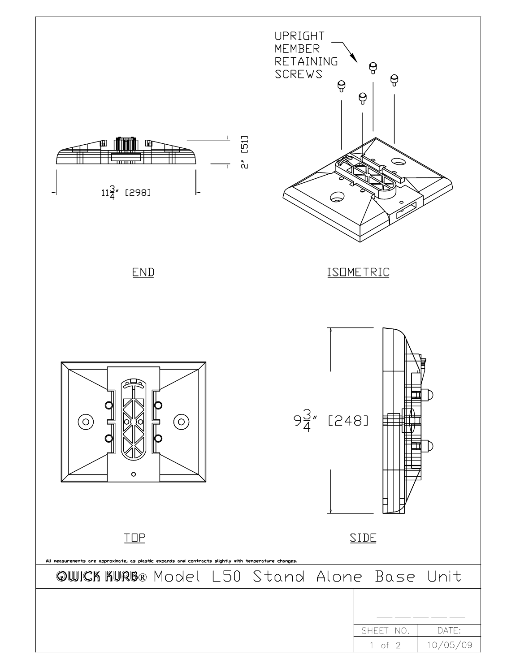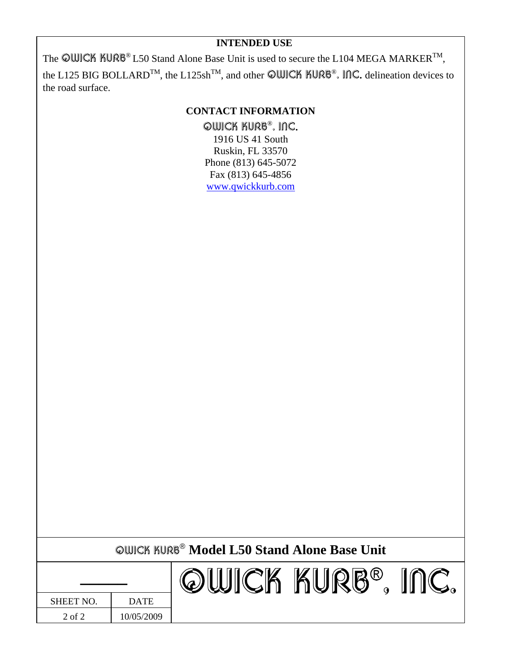The **QWICK KURB**<sup>®</sup> L50 Stand Alone Base Unit is used to secure the L104 MEGA MARKER<sup>TM</sup>, the L125 BIG BOLLARD<sup>TM</sup>, the L125sh<sup>TM</sup>, and other **QWICK KURB<sup>®</sup>**, INC. delineation devices to the road surface.

#### **CONTACT INFORMATION**

**QWICK KURB<sup>®</sup>, INC.**<br>1916 US 41 South Ruskin, FL 33570 Phone (813) 645-5072 Fax (813) 645-4856 www.qwickkurb.com

| <b>OWICK KURB<sup>®</sup> Model L50 Stand Alone Base Unit</b> |
|---------------------------------------------------------------|
|---------------------------------------------------------------|

| SHEET NO. | <b>DATE</b> |
|-----------|-------------|
| 2 of 2    | 10/05/2009  |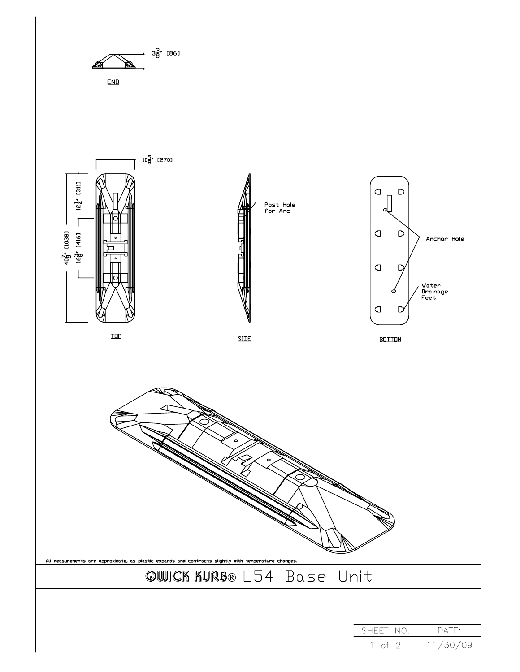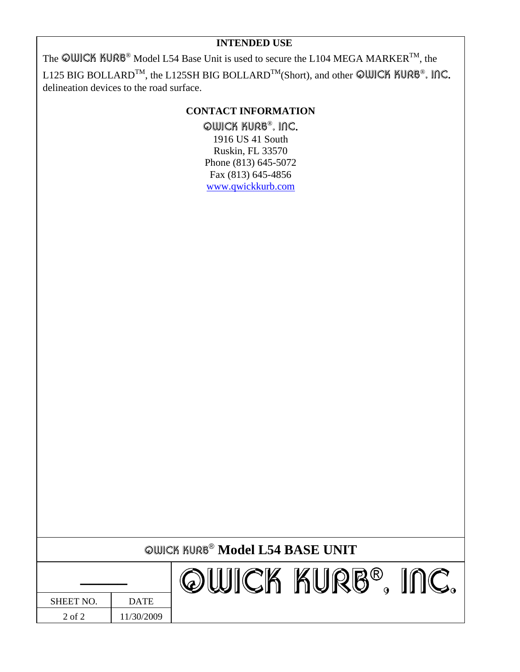The  $\textcircled{C}\text{WICK}$  KURB® Model L54 Base Unit is used to secure the L104 MEGA MARKER<sup>TM</sup>, the L125 BIG BOLLARD<sup>TM</sup>, the L125SH BIG BOLLARD<sup>TM</sup>(Short), and other ©WICK KURB®, INC. delineation devices to the road surface.

## **CONTACT INFORMATION**

QWICK KURB®, INC. 1916 US 41 South Ruskin, FL 33570 Phone (813) 645-5072 Fax (813) 645-4856 www.qwickkurb.com

|                  |             | <b>QUICK KURB® Model L54 BASE UNIT</b> |            |  |
|------------------|-------------|----------------------------------------|------------|--|
|                  |             |                                        | ICK KURB®. |  |
| <b>SHEET NO.</b> | <b>DATE</b> |                                        |            |  |
| 2 of 2           | 11/30/2009  |                                        |            |  |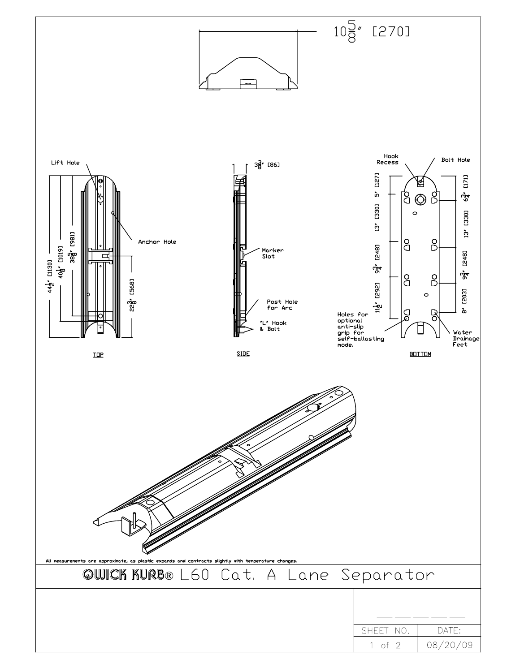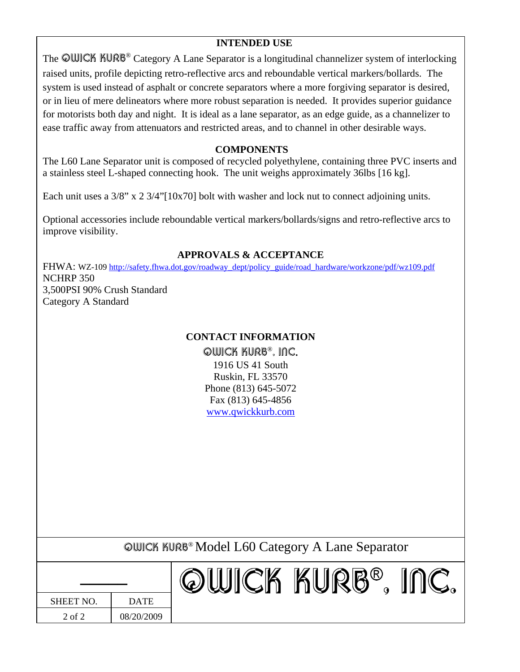The **QWICK KURB<sup>®</sup>** Category A Lane Separator is a longitudinal channelizer system of interlocking raised units, profile depicting retro-reflective arcs and reboundable vertical markers/bollards. The system is used instead of asphalt or concrete separators where a more forgiving separator is desired, or in lieu of mere delineators where more robust separation is needed. It provides superior guidance for motorists both day and night. It is ideal as a lane separator, as an edge guide, as a channelizer to ease traffic away from attenuators and restricted areas, and to channel in other desirable ways.

## **COMPONENTS**

The L60 Lane Separator unit is composed of recycled polyethylene, containing three PVC inserts and a stainless steel L-shaped connecting hook. The unit weighs approximately 36lbs [16 kg].

Each unit uses a  $3/8$ " x 2  $3/4$ "[10x70] bolt with washer and lock nut to connect adjoining units.

Optional accessories include reboundable vertical markers/bollards/signs and retro-reflective arcs to improve visibility.

#### **APPROVALS & ACCEPTANCE**

FHWA: WZ-109 http://safety.fhwa.dot.gov/roadway\_dept/policy\_guide/road\_hardware/workzone/pdf/wz109.pdf NCHRP 350 3,500PSI 90% Crush Standard Category A Standard

## **CONTACT INFORMATION**

**QWICK KURB®, INC.**<br>1916 US 41 South Ruskin, FL 33570 Phone (813) 645-5072 Fax (813) 645-4856 www.qwickkurb.com

QWICK KURB® Model L60 Category A Lane Separator

| <b>SHEET NO.</b> | <b>DATE</b> |
|------------------|-------------|
| 2 of 2           | 08/20/2009  |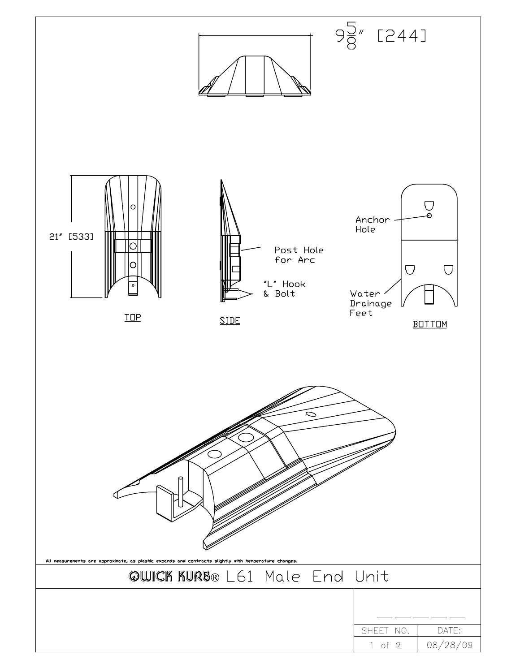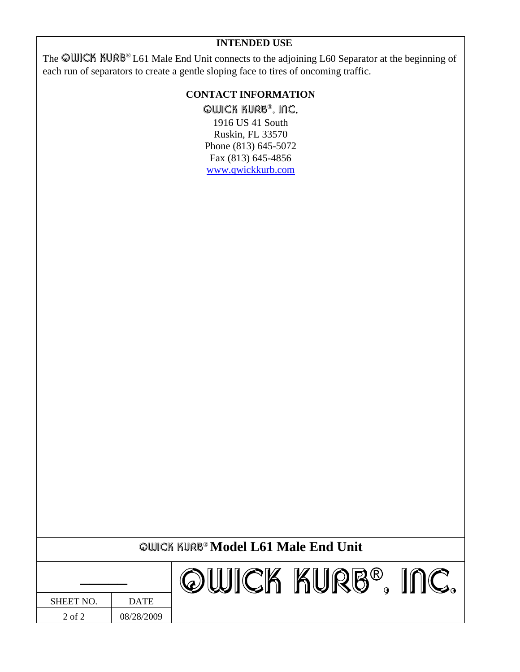| INTENDED USE |  |
|--------------|--|
|--------------|--|

The **@WICK KURB**<sup>®</sup> L61 Male End Unit connects to the adjoining L60 Separator at the beginning of each run of separators to create a gentle sloping face to tires of oncoming traffic.

# **CONTACT INFORMATION**

**QWICK KURB<sup>®</sup>, INC.**<br>1916 US 41 South Ruskin, FL 33570 Phone (813) 645-5072 Fax (813) 645-4856 www.qwickkurb.com

|                  |             | <b>QUICK KURB® Model L61 Male End Unit</b> |
|------------------|-------------|--------------------------------------------|
|                  |             | ``` KURB®                                  |
| <b>SHEET NO.</b> | <b>DATE</b> |                                            |
| 2 of 2           | 08/28/2009  |                                            |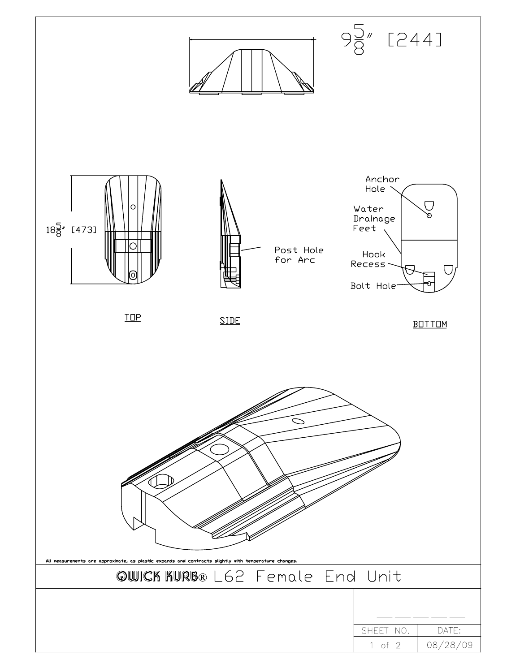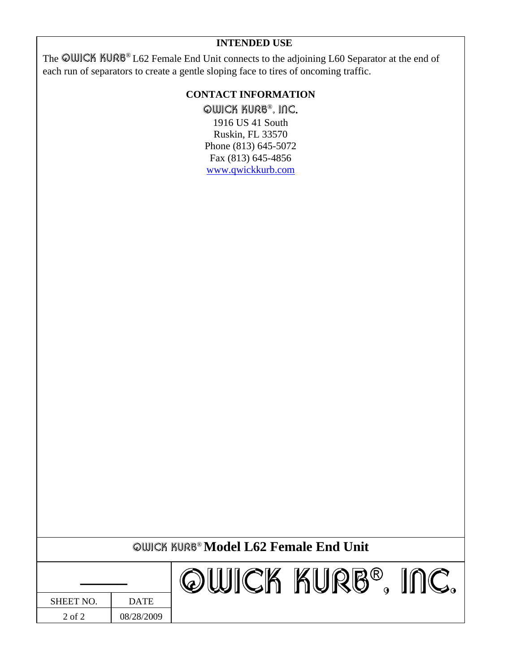The OWICK KURB® L62 Female End Unit connects to the adjoining L60 Separator at the end of each run of separators to create a gentle sloping face to tires of oncoming traffic.

## **CONTACT INFORMATION**

**QWICK KURB<sup>®</sup>, INC.**<br>1916 US 41 South Ruskin, FL 33570 Phone (813) 645-5072 Fax (813) 645-4856 www.qwickkurb.com

|                  |             | <b>QUICK KURB<sup>®</sup> Model L62 Female End Unit</b> |        |  |
|------------------|-------------|---------------------------------------------------------|--------|--|
|                  |             |                                                         | KURB®. |  |
| <b>SHEET NO.</b> | <b>DATE</b> |                                                         |        |  |
| $2$ of $2$       | 08/28/2009  |                                                         |        |  |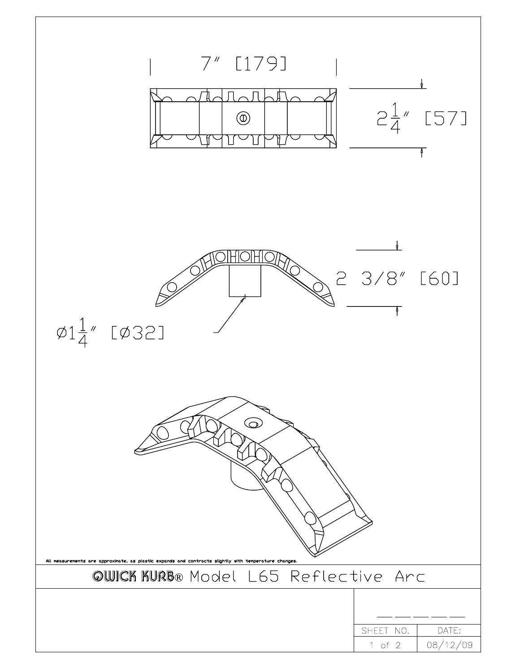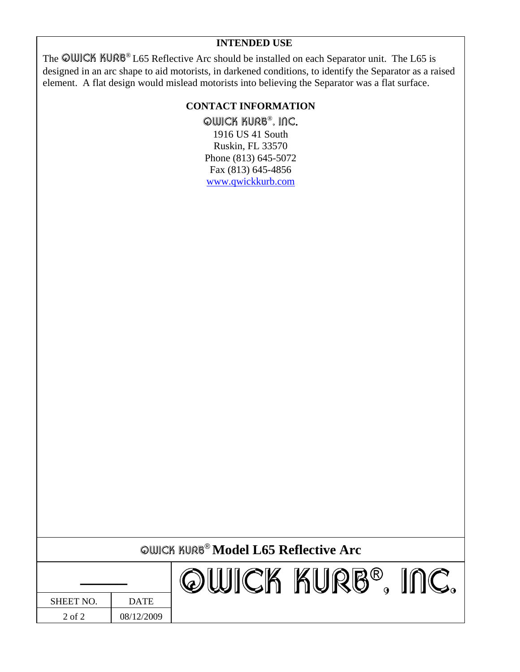The OWICK KURB® L65 Reflective Arc should be installed on each Separator unit. The L65 is designed in an arc shape to aid motorists, in darkened conditions, to identify the Separator as a raised element. A flat design would mislead motorists into believing the Separator was a flat surface.

## **CONTACT INFORMATION**

**QWICK KURB®, INC.**<br>1916 US 41 South Ruskin, FL 33570 Phone (813) 645-5072

Fax (813) 645-4856 www.qwickkurb.com

|                  |             | <b>QWICK KURB<sup>®</sup> Model L65 Reflective Arc</b> |        |  |
|------------------|-------------|--------------------------------------------------------|--------|--|
|                  |             | ICK                                                    | AURB®. |  |
| <b>SHEET NO.</b> | <b>DATE</b> |                                                        |        |  |
| $2$ of $2$       | 08/12/2009  |                                                        |        |  |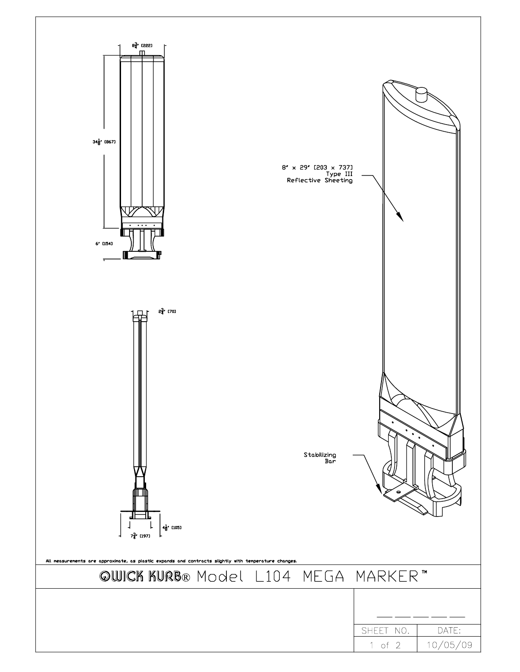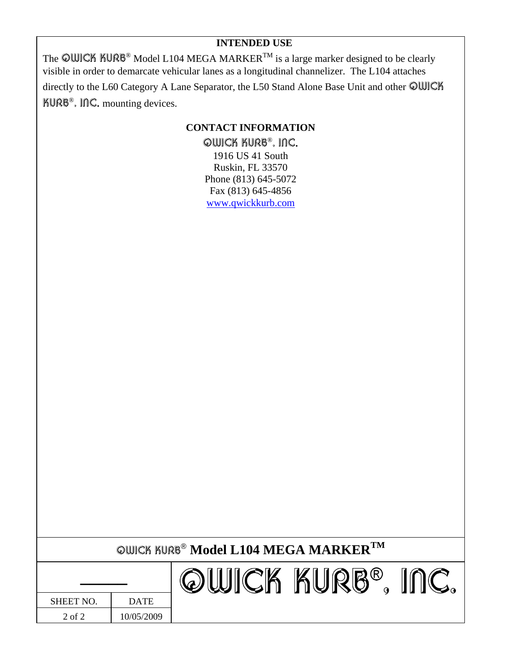The QWICK KURB<sup>®</sup> Model L104 MEGA MARKER<sup>TM</sup> is a large marker designed to be clearly visible in order to demarcate vehicular lanes as a longitudinal channelizer. The L104 attaches directly to the L60 Category A Lane Separator, the L50 Stand Alone Base Unit and other @WICK KURB<sup>®</sup>, InC. mounting devices.

## **CONTACT INFORMATION**

**QWICK KURB<sup>®</sup>, INC.**<br>1916 US 41 South Ruskin, FL 33570 Phone (813) 645-5072 Fax (813) 645-4856 www.qwickkurb.com

| <b>QWICK KURB® Model L104 MEGA MARKER</b> TM |
|----------------------------------------------|
|----------------------------------------------|

| <b>SHEET NO.</b> | <b>DATE</b> |
|------------------|-------------|
| 2 of 2           | 10/05/2009  |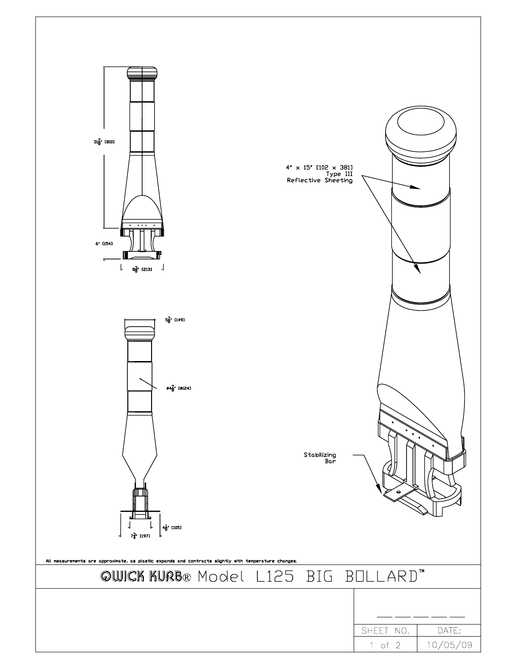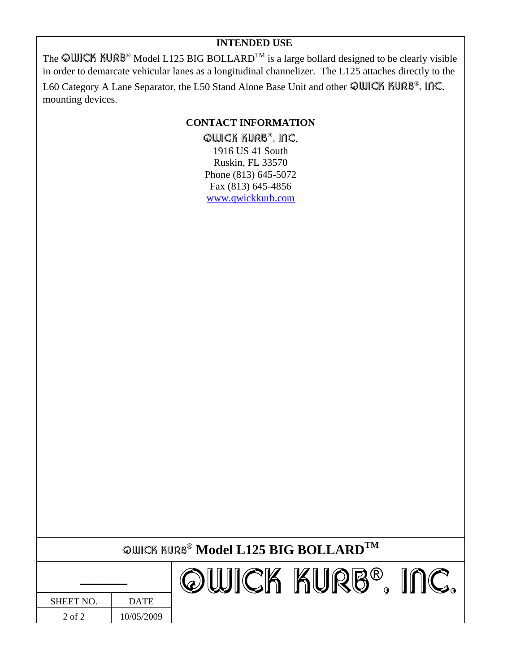The QWICK KURB<sup>®</sup> Model L125 BIG BOLLARD<sup>TM</sup> is a large bollard designed to be clearly visible in order to demarcate vehicular lanes as a longitudinal channelizer. The L125 attaches directly to the

L60 Category A Lane Separator, the L50 Stand Alone Base Unit and other QWICK KURB®, INC. mounting devices.

## **CONTACT INFORMATION**

QWICK KURB®, INC. 1916 US 41 South Ruskin, FL 33570 Phone (813) 645-5072 Fax (813) 645-4856 www.qwickkurb.com

|  | ©WICK KURB® ${\bf Model~L125~BIG~BOLLARD}^{\rm TM}$ |  |
|--|-----------------------------------------------------|--|
|--|-----------------------------------------------------|--|

| <b>SHEET NO.</b> | <b>DATE</b> |
|------------------|-------------|
| 2 of 2           | 10/05/2009  |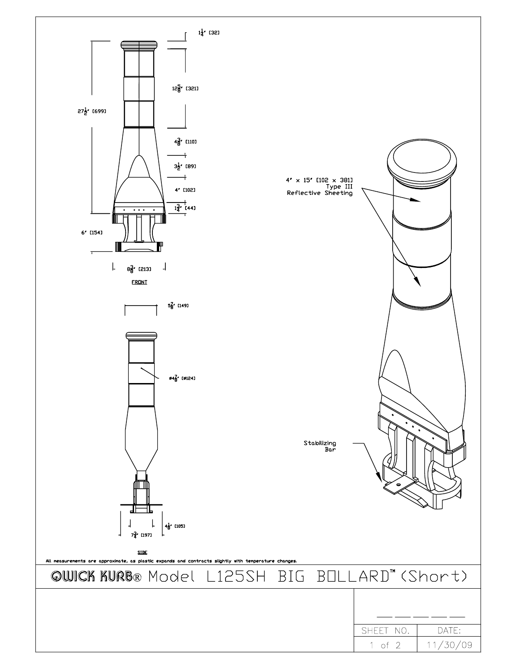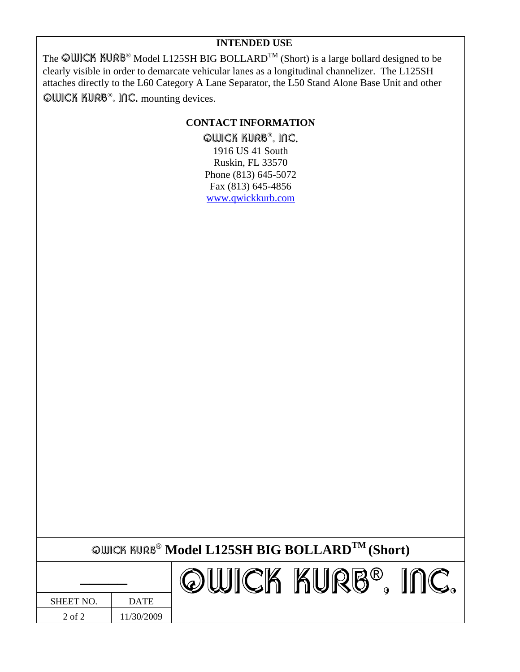The  $\bigcirc$ WICK KURB® Model L125SH BIG BOLLARD<sup>TM</sup> (Short) is a large bollard designed to be clearly visible in order to demarcate vehicular lanes as a longitudinal channelizer. The L125SH attaches directly to the L60 Category A Lane Separator, the L50 Stand Alone Base Unit and other QWICK KURB®, INC. mounting devices.

## **CONTACT INFORMATION**

QWICK KURB®, INC. 1916 US 41 South Ruskin, FL 33570 Phone (813) 645-5072 Fax (813) 645-4856 www.qwickkurb.com

| <b>©WICK KURB<sup>®</sup> Model L125SH BIG BOLLARD<sup>TM</sup> (Short)</b> |                   |  |  |  |  |
|-----------------------------------------------------------------------------|-------------------|--|--|--|--|
|                                                                             | OWICK KURB®, INC. |  |  |  |  |

| SHEET NO.  | <b>DATE</b> |
|------------|-------------|
| $2$ of $2$ | 11/30/2009  |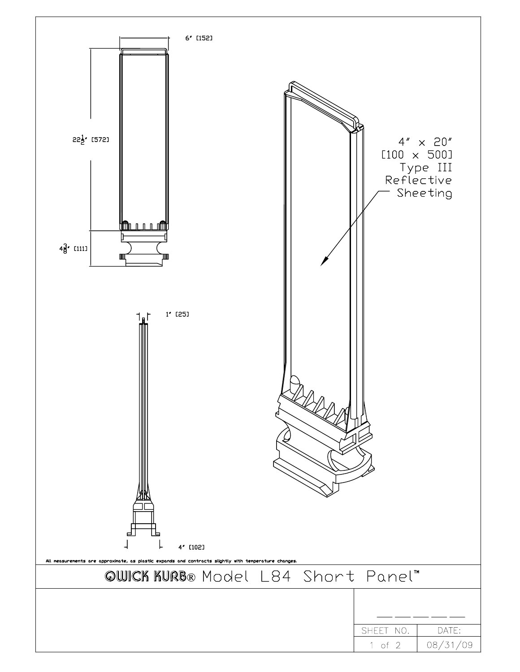